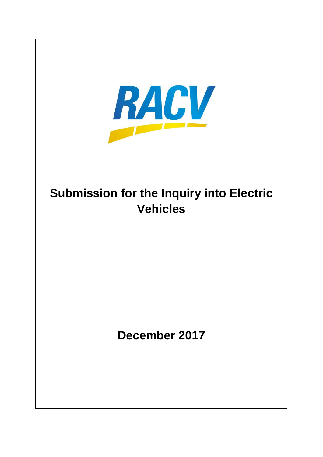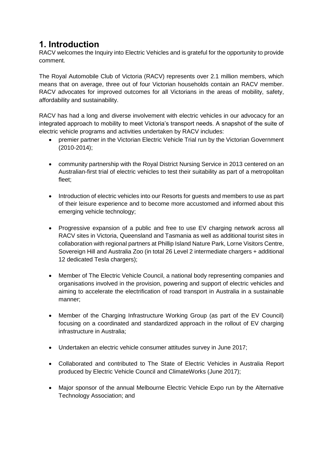## **1. Introduction**

RACV welcomes the Inquiry into Electric Vehicles and is grateful for the opportunity to provide comment.

The Royal Automobile Club of Victoria (RACV) represents over 2.1 million members, which means that on average, three out of four Victorian households contain an RACV member. RACV advocates for improved outcomes for all Victorians in the areas of mobility, safety, affordability and sustainability.

RACV has had a long and diverse involvement with electric vehicles in our advocacy for an integrated approach to mobility to meet Victoria's transport needs. A snapshot of the suite of electric vehicle programs and activities undertaken by RACV includes:

- premier partner in the Victorian Electric Vehicle Trial run by the Victorian Government (2010-2014);
- community partnership with the Royal District Nursing Service in 2013 centered on an Australian-first trial of electric vehicles to test their suitability as part of a metropolitan fleet;
- Introduction of electric vehicles into our Resorts for guests and members to use as part of their leisure experience and to become more accustomed and informed about this emerging vehicle technology;
- Progressive expansion of a public and free to use EV charging network across all RACV sites in Victoria, Queensland and Tasmania as well as additional tourist sites in collaboration with regional partners at Phillip Island Nature Park, Lorne Visitors Centre, Sovereign Hill and Australia Zoo (in total 26 Level 2 intermediate chargers + additional 12 dedicated Tesla chargers);
- Member of The Electric Vehicle Council, a national body representing companies and organisations involved in the provision, powering and support of electric vehicles and aiming to accelerate the electrification of road transport in Australia in a sustainable manner;
- Member of the Charging Infrastructure Working Group (as part of the EV Council) focusing on a coordinated and standardized approach in the rollout of EV charging infrastructure in Australia;
- Undertaken an electric vehicle consumer attitudes survey in June 2017;
- Collaborated and contributed to The State of Electric Vehicles in Australia Report produced by Electric Vehicle Council and ClimateWorks (June 2017);
- Major sponsor of the annual Melbourne Electric Vehicle Expo run by the Alternative Technology Association; and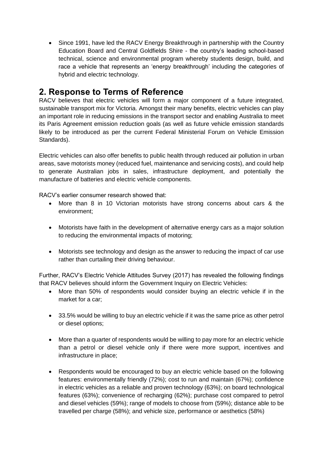• Since 1991, have led the RACV Energy Breakthrough in partnership with the Country Education Board and Central Goldfields Shire - the country's leading school-based technical, science and environmental program whereby students design, build, and race a vehicle that represents an 'energy breakthrough' including the categories of hybrid and electric technology.

## **2. Response to Terms of Reference**

RACV believes that electric vehicles will form a major component of a future integrated, sustainable transport mix for Victoria. Amongst their many benefits, electric vehicles can play an important role in reducing emissions in the transport sector and enabling Australia to meet its Paris Agreement emission reduction goals (as well as future vehicle emission standards likely to be introduced as per the current Federal Ministerial Forum on Vehicle Emission Standards).

Electric vehicles can also offer benefits to public health through reduced air pollution in urban areas, save motorists money (reduced fuel, maintenance and servicing costs), and could help to generate Australian jobs in sales, infrastructure deployment, and potentially the manufacture of batteries and electric vehicle components.

RACV's earlier consumer research showed that:

- More than 8 in 10 Victorian motorists have strong concerns about cars & the environment;
- Motorists have faith in the development of alternative energy cars as a major solution to reducing the environmental impacts of motoring;
- Motorists see technology and design as the answer to reducing the impact of car use rather than curtailing their driving behaviour.

Further, RACV's Electric Vehicle Attitudes Survey (2017) has revealed the following findings that RACV believes should inform the Government Inquiry on Electric Vehicles:

- More than 50% of respondents would consider buying an electric vehicle if in the market for a car;
- 33.5% would be willing to buy an electric vehicle if it was the same price as other petrol or diesel options;
- More than a quarter of respondents would be willing to pay more for an electric vehicle than a petrol or diesel vehicle only if there were more support, incentives and infrastructure in place;
- Respondents would be encouraged to buy an electric vehicle based on the following features: environmentally friendly (72%); cost to run and maintain (67%); confidence in electric vehicles as a reliable and proven technology (63%); on board technological features (63%); convenience of recharging (62%); purchase cost compared to petrol and diesel vehicles (59%); range of models to choose from (59%); distance able to be travelled per charge (58%); and vehicle size, performance or aesthetics (58%)